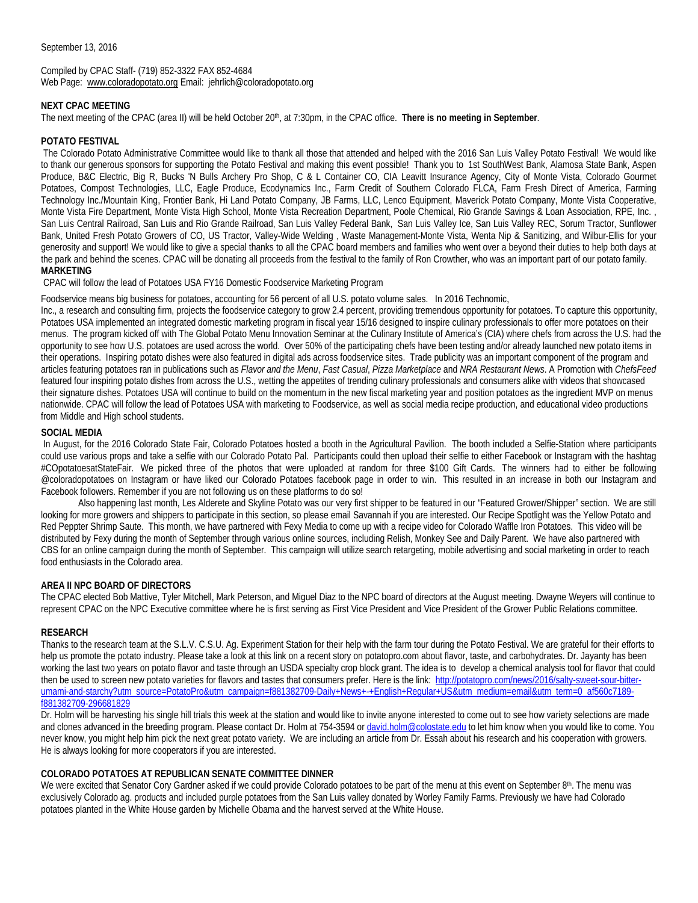September 13, 2016

Compiled by CPAC Staff- (719) 852-3322 FAX 852-4684 Web Page: [www.coloradopotato.org](http://www.coloradopotato.org/) Email: jehrlich@coloradopotato.org

## **NEXT CPAC MEETING**

The next meeting of the CPAC (area II) will be held October 20<sup>th</sup>, at 7:30pm, in the CPAC office. **There is no meeting in September**.

## **POTATO FESTIVAL**

The Colorado Potato Administrative Committee would like to thank all those that attended and helped with the 2016 San Luis Valley Potato Festival! We would like to thank our generous sponsors for supporting the Potato Festival and making this event possible! Thank you to 1st SouthWest Bank, Alamosa State Bank, Aspen Produce, B&C Electric, Big R, Bucks 'N Bulls Archery Pro Shop, C & L Container CO, CIA Leavitt Insurance Agency, City of Monte Vista, Colorado Gourmet Potatoes, Compost Technologies, LLC, Eagle Produce, Ecodynamics Inc., Farm Credit of Southern Colorado FLCA, Farm Fresh Direct of America, Farming Technology Inc./Mountain King, Frontier Bank, Hi Land Potato Company, JB Farms, LLC, Lenco Equipment, Maverick Potato Company, Monte Vista Cooperative, Monte Vista Fire Department, Monte Vista High School, Monte Vista Recreation Department, Poole Chemical, Rio Grande Savings & Loan Association, RPE, Inc. , San Luis Central Railroad, San Luis and Rio Grande Railroad, San Luis Valley Federal Bank, San Luis Valley Ice, San Luis Valley REC, Sorum Tractor, Sunflower Bank, United Fresh Potato Growers of CO, US Tractor, Valley-Wide Welding , Waste Management-Monte Vista, Wenta Nip & Sanitizing, and Wilbur-Ellis for your generosity and support! We would like to give a special thanks to all the CPAC board members and families who went over a beyond their duties to help both days at the park and behind the scenes. CPAC will be donating all proceeds from the festival to the family of Ron Crowther, who was an important part of our potato family. **MARKETING**

CPAC will follow the lead of Potatoes USA FY16 Domestic Foodservice Marketing Program

Foodservice means big business for potatoes, accounting for 56 percent of all U.S. potato volume sales. In 2016 Technomic,

Inc., a research and consulting firm, projects the foodservice category to grow 2.4 percent, providing tremendous opportunity for potatoes. To capture this opportunity, Potatoes USA implemented an integrated domestic marketing program in fiscal year 15/16 designed to inspire culinary professionals to offer more potatoes on their menus. The program kicked off with The Global Potato Menu Innovation Seminar at the Culinary Institute of America's (CIA) where chefs from across the U.S. had the opportunity to see how U.S. potatoes are used across the world. Over 50% of the participating chefs have been testing and/or already launched new potato items in their operations. Inspiring potato dishes were also featured in digital ads across foodservice sites. Trade publicity was an important component of the program and articles featuring potatoes ran in publications such as *Flavor and the Menu*, *Fast Casual*, *Pizza Marketplace* and *NRA Restaurant News*. A Promotion with *ChefsFeed* featured four inspiring potato dishes from across the U.S., wetting the appetites of trending culinary professionals and consumers alike with videos that showcased their signature dishes. Potatoes USA will continue to build on the momentum in the new fiscal marketing year and position potatoes as the ingredient MVP on menus nationwide. CPAC will follow the lead of Potatoes USA with marketing to Foodservice, as well as social media recipe production, and educational video productions from Middle and High school students.

## **SOCIAL MEDIA**

In August, for the 2016 Colorado State Fair, Colorado Potatoes hosted a booth in the Agricultural Pavilion. The booth included a Selfie-Station where participants could use various props and take a selfie with our Colorado Potato Pal. Participants could then upload their selfie to either Facebook or Instagram with the hashtag #COpotatoesatStateFair. We picked three of the photos that were uploaded at random for three \$100 Gift Cards. The winners had to either be following @coloradopotatoes on Instagram or have liked our Colorado Potatoes facebook page in order to win. This resulted in an increase in both our Instagram and Facebook followers. Remember if you are not following us on these platforms to do so!

 Also happening last month, Les Alderete and Skyline Potato was our very first shipper to be featured in our "Featured Grower/Shipper" section. We are still looking for more growers and shippers to participate in this section, so please email Savannah if you are interested. Our Recipe Spotlight was the Yellow Potato and Red Peppter Shrimp Saute. This month, we have partnered with Fexy Media to come up with a recipe video for Colorado Waffle Iron Potatoes. This video will be distributed by Fexy during the month of September through various online sources, including Relish, Monkey See and Daily Parent. We have also partnered with CBS for an online campaign during the month of September. This campaign will utilize search retargeting, mobile advertising and social marketing in order to reach food enthusiasts in the Colorado area.

## **AREA II NPC BOARD OF DIRECTORS**

The CPAC elected Bob Mattive, Tyler Mitchell, Mark Peterson, and Miguel Diaz to the NPC board of directors at the August meeting. Dwayne Weyers will continue to represent CPAC on the NPC Executive committee where he is first serving as First Vice President and Vice President of the Grower Public Relations committee.

## **RESEARCH**

Thanks to the research team at the S.L.V. C.S.U. Ag. Experiment Station for their help with the farm tour during the Potato Festival. We are grateful for their efforts to help us promote the potato industry. Please take a look at this link on a recent story on potatopro.com about flavor, taste, and carbohydrates. Dr. Jayanty has been working the last two years on potato flavor and taste through an USDA specialty crop block grant. The idea is to develop a chemical analysis tool for flavor that could then be used to screen new potato varieties for flavors and tastes that consumers prefer. Here is the link: [http://potatopro.com/news/2016/salty-sweet-sour-bitter](http://potatopro.com/news/2016/salty-sweet-sour-bitter-umami-and-starchy?utm_source=PotatoPro&utm_campaign=f881382709-Daily+News+-+English+Regular+US&utm_medium=email&utm_term=0_af560c7189-f881382709-296681829)[umami-and-starchy?utm\\_source=PotatoPro&utm\\_campaign=f881382709-Daily+News+-+English+Regular+US&utm\\_medium=email&utm\\_term=0\\_af560c7189](http://potatopro.com/news/2016/salty-sweet-sour-bitter-umami-and-starchy?utm_source=PotatoPro&utm_campaign=f881382709-Daily+News+-+English+Regular+US&utm_medium=email&utm_term=0_af560c7189-f881382709-296681829) [f881382709-296681829](http://potatopro.com/news/2016/salty-sweet-sour-bitter-umami-and-starchy?utm_source=PotatoPro&utm_campaign=f881382709-Daily+News+-+English+Regular+US&utm_medium=email&utm_term=0_af560c7189-f881382709-296681829)

Dr. Holm will be harvesting his single hill trials this week at the station and would like to invite anyone interested to come out to see how variety selections are made and clones advanced in the breeding program. Please contact Dr. Holm at 754-3594 or [david.holm@colostate.edu](mailto:david.holm@colostate.edu) to let him know when you would like to come. You never know, you might help him pick the next great potato variety. We are including an article from Dr. Essah about his research and his cooperation with growers. He is always looking for more cooperators if you are interested.

## **COLORADO POTATOES AT REPUBLICAN SENATE COMMITTEE DINNER**

We were excited that Senator Cory Gardner asked if we could provide Colorado potatoes to be part of the menu at this event on September 8<sup>th</sup>. The menu was exclusively Colorado ag. products and included purple potatoes from the San Luis valley donated by Worley Family Farms. Previously we have had Colorado potatoes planted in the White House garden by Michelle Obama and the harvest served at the White House.